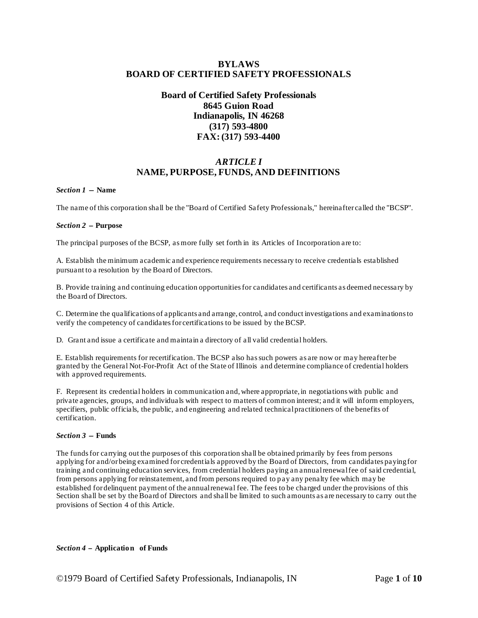## **BYLAWS BOARD OF CERTIFIED SAFETY PROFESSIONALS**

# **Board of Certified Safety Professionals 8645 Guion Road Indianapolis, IN 46268 (317) 593-4800 FAX: (317) 593-4400**

# *ARTICLE I* **NAME, PURPOSE, FUNDS, AND DEFINITIONS**

### *Section 1* **- Name**

The name of this corporation shall be the "Board of Certified Safety Professionals," hereinafter called the "BCSP".

#### *Section 2* **- Purpose**

The principal purposes of the BCSP, as more fully set forth in its Articles of Incorporation are to:

A. Establish the minimum academic and experience requirements necessary to receive credentials established pursuant to a resolution by the Board of Directors.

B. Provide training and continuing education opportunities for candidates and certificants as deemed necessary by the Board of Directors.

C. Determine the qualifications of applicants and arrange, control, and conduct investigations and examinations to verify the competency of candidates for certifications to be issued by the BCSP.

D. Grant and issue a certificate and maintain a directory of all valid credential holders.

E. Establish requirements for recertification. The BCSP also has such powers as are now or may hereafter be granted by the General Not-For-Profit Act of the State of Illinois and determine compliance of credential holders with approved requirements.

F. Represent its credential holders in communication and, where appropriate, in negotiations with public and private agencies, groups, and individuals with respect to matters of common interest; and it will inform employers, specifiers, public officials, the public, and engineering and related technical practitioners of the benefits of certification.

### *Section 3 -* **Funds**

The funds for carrying out the purposes of this corporation shall be obtained primarily by fees from persons applying for and/or being examined for credentials approved by the Board of Directors, from candidates paying for training and continuing education services, from credential holders paying an annual renewal fee of said credential, from persons applying for reinstatement, and from persons required to pay any penalty fee which may be established for delinquent payment of the annual renewal fee. The fees to be charged under the provisions of this Section shall be set by the Board of Directors and shall be limited to such amounts as are necessary to carry out the provisions of Section 4 of this Article.

### *Section 4* **- Application of Funds**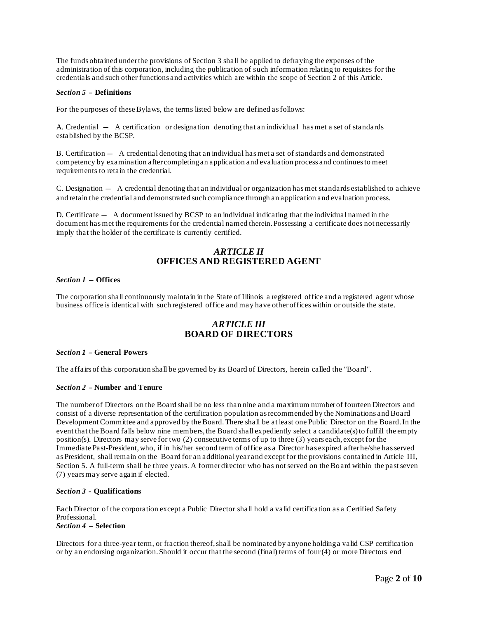The funds obtained under the provisions of Section 3 shall be applied to defraying the expenses of the administration of this corporation, including the publication of such information relating to requisites for the credentials and such other functions and activities which are within the scope of Section 2 of this Article.

## *Section 5* **- Definitions**

For the purposes of these Bylaws, the terms listed below are defined as follows:

A. Credential - A certification or designation denoting that an individual has met a set of standards established by the BCSP.

B. Certification  $-$  A credential denoting that an individual has met a set of standards and demonstrated competency by examination after completing an application and evaluation process and continues to meet requirements to retain the credential.

C. Designation - A credential denoting that an individual or organization has met standards established to achieve and retain the credential and demonstrated such compliance through an application and evaluation process.

D. Certificate  $-$  A document issued by BCSP to an individual indicating that the individual named in the document has met the requirements for the credential named therein. Possessing a certificate does not necessarily imply that the holder of the certificate is currently certified.

# *ARTICLE II* **OFFICES AND REGISTERED AGENT**

#### *Section 1* **- Offices**

The corporation shall continuously maintain in the State of Illinois a registered office and a registered agent whose business office is identical with such registered office and may have other offices within or outside the state.

# *ARTICLE III* **BOARD OF DIRECTORS**

#### *Section 1 -* **General Powers**

The affairs of this corporation shall be governed by its Board of Directors, herein called the "Board".

### *Section 2* **- Number and Tenure**

The number of Directors on the Board shall be no less than nine and a maximum number of fourteen Directors and consist of a diverse representation of the certification population as recommended by the Nominations and Board Development Committee and approved by the Board. There shall be at least one Public Director on the Board. In the event that the Board falls below nine members, the Board shall expediently select a candidate(s) to fulfill the empty position(s). Directors may serve for two (2) consecutive terms of up to three (3) years each, except for the Immediate Past-President, who, if in his/her second term of office as a Director has expired after he/she has served as President, shall remain on the Board for an additional year and except for the provisions contained in Article III, Section 5. A full-term shall be three years. A former director who has not served on the Board within the past seven (7) years may serve again if elected.

#### *Section 3* **- Qualifications**

Each Director of the corporation except a Public Director shall hold a valid certification as a Certified Safety Professional. *Section 4* **- Selection**

Directors for a three-year term, or fraction thereof, shall be nominated by anyone holding a valid CSP certification or by an endorsing organization. Should it occur that the second (final) terms of four (4) or more Directors end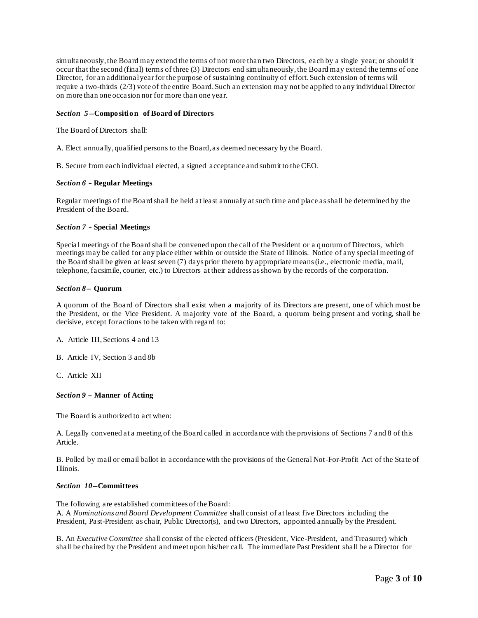simultaneously, the Board may extend the terms of not more than two Directors, each by a single year; or should it occur that the second (final) terms of three (3) Directors end simultaneously, the Board may extend the terms of one Director, for an additional year for the purpose of sustaining continuity of effort. Such extension of terms will require a two-thirds (2/3) vote of the entire Board. Such an extension may not be applied to any individual Director on more than one occasion nor for more than one year.

### *Section 5***-Composition of Board of Directors**

The Board of Directors shall:

A. Elect annually, qualified persons to the Board, as deemed necessary by the Board.

B. Secure from each individual elected, a signed acceptance and submit to the CEO.

#### *Section 6* **- Regular Meetings**

Regular meetings of the Board shall be held at least annually at such time and place as shall be determined by the President of the Board.

## *Section 7* **- Special Meetings**

Special meetings of the Board shall be convened upon the call of the President or a q uorum of Directors, which meetings may be called for any place either within or outside the State of Illinois. Notice of any special meeting of the Board shall be given at least seven (7) days prior thereto by appropriate means (i.e., electronic media, mail, telephone, facsimile, courier, etc.) to Directors at their address as shown by the records of the corporation.

#### *Section 8***- Quorum**

A quorum of the Board of Directors shall exist when a majority of its Directors are present, one of which must be the President, or the Vice President. A majority vote of the Board, a quorum being present and voting, shall be decisive, except for actions to be taken with regard to:

A. Article III, Sections 4 and 13

B. Article IV, Section 3 and 8b

C. Article XII

#### *Section 9* **- Manner of Acting**

The Board is authorized to act when:

A. Legally convened at a meeting of the Board called in accordance with the provisions of Sections 7 and 8 of this Article.

B. Polled by mail or email ballot in accordance with the provisions of the General Not-For-Profit Act of the State of Illinois.

#### *Section 10***-Committees**

The following are established committees of the Board: A. A *Nominations and Board Development Committee* shall consist of at least five Directors including the President, Past-President as chair, Public Director(s), and two Directors, appointed annually by the President.

B. An *Executive Committee* shall consist of the elected officers (President, Vice-President, and Treasurer) which shall be chaired by the President and meet upon his/her call. The immediate Past President shall be a Director for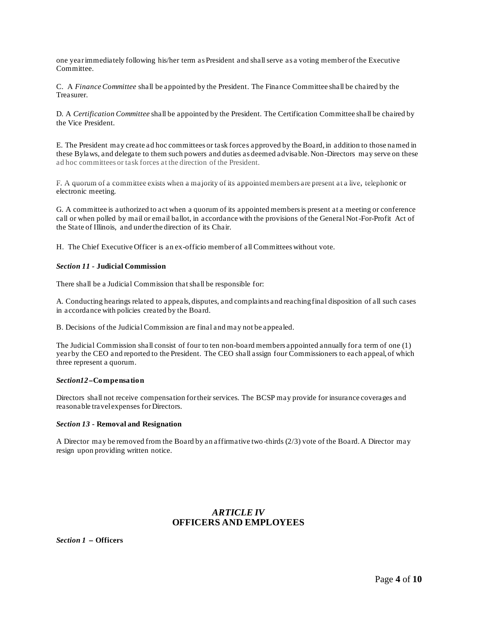one year immediately following his/her term as President and shall serve as a voting member of the Executive Committee.

C. A *Finance Committee* shall be appointed by the President. The Finance Committee shall be chaired by the Treasurer.

D. A *Certification Committee* shall be appointed by the President. The Certification Committee shall be chaired by the Vice President.

E. The President may create ad hoc committees or task forces approved by the Board, in addition to those named in these Bylaws, and delegate to them such powers and duties as deemed advisable. Non -Directors may serve on these ad hoc committees or task forces at the direction of the President.

F. A quorum of a committee exists when a majority of its appointed members are present at a live, telephonic or electronic meeting.

G. A committee is authorized to act when a quorum of its appointed members is present at a meeting or conference call or when polled by mail or email ballot, in accordance with the provisions of the General Not-For-Profit Act of the State of Illinois, and under the direction of its Chair.

H. The Chief Executive Officer is an ex-officio member of all Committees without vote.

#### *Section 11 -* **Judicial Commission**

There shall be a Judicial Commission that shall be responsible for:

A. Conducting hearings related to appeals, disputes, and complaints and reaching final disposition of all such cases in accordance with policies created by the Board.

B. Decisions of the Judicial Commission are final and may not be appealed.

The Judicial Commission shall consist of four to ten non-board members appointed annually for a term of one (1) year by the CEO and reported to the President. The CEO shall assign four Commissioners to each appeal, of which three represent a quorum.

#### *Section12***-Compensation**

Directors shall not receive compensation for their services. The BCSP may provide for insurance coverages and reasonable travel expenses for Directors.

#### *Section 13* **- Removal and Resignation**

A Director may be removed from the Board by an affirmative two-thirds (2/3) vote of the Board. A Director may resign upon providing written notice.

## *ARTICLE IV* **OFFICERS AND EMPLOYEES**

*Section 1* **- Officers**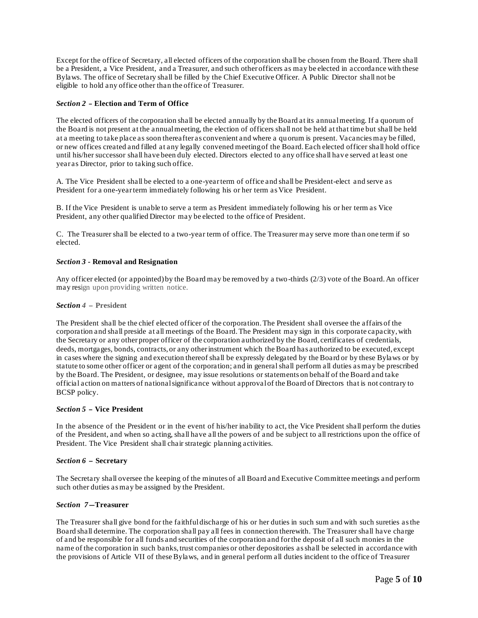Except for the office of Secretary, all elected officers of the corporation shall be chosen from the Board. There shall be a President, a Vice President, and a Treasurer, and such other officers as may be elected in accordance with these Bylaws. The office of Secretary shall be filled by the Chief Executive Officer. A Public Director shall not be eligible to hold any office other than the office of Treasurer.

### *Section 2* **- Election and Term of Office**

The elected officers of the corporation shall be elected annually by the Board at its annual meeting. If a quorum of the Board is not present at the annual meeting, the election of officers shall not be held at that time but shall be held at a meeting to take place as soon thereafter as convenient and where a quorum is present. Vacancies may be filled, or new offices created and filled at any legally convened meeting of the Board. Each elected officer shall hold office until his/her successor shall have been duly elected. Directors elected to any office shall hav e served at least one year as Director, prior to taking such office.

A. The Vice President shall be elected to a one-year term of office and shall be President-elect and serve as President for a one-year term immediately following his or her term as Vice President.

B. If the Vice President is unable to serve a term as President immediately following his or her term as Vice President, any other qualified Director may be elected to the office of President.

C. The Treasurer shall be elected to a two-year term of office. The Treasurer may serve more than one term if so elected.

#### *Section 3* **- Removal and Resignation**

Any officer elected (or appointed) by the Board may be removed by a two-thirds (2/3) vote of the Board. An officer may resign upon providing written notice.

#### *Section 4* **- President**

The President shall be the chief elected officer of the corporation. The President shall oversee the affairs of the corporation and shall preside at all meetings of the Board. The President may sign in this corporate capacity, with the Secretary or any other proper officer of the corporation authorized by the Board, certificates of credentials, deeds, mortgages, bonds, contracts, or any other instrument which the Board has authorized to be executed, except in cases where the signing and execution thereof shall be expressly delegated by the Board or by these Bylaws or by statute to some other officer or agent of the corporation; and in general shall perform all duties as may be prescribed by the Board. The President, or designee, may issue resolutions or statements on behalf of the Board and take official action on matters of national significance without approval of the Board of Directors that is not contrary to BCSP policy.

#### *Section 5* **- Vice President**

In the absence of the President or in the event of his/her inability to act, the Vice President shall perform the duties of the President, and when so acting, shall have all the powers of and be subject to all restrictions upon the office of President. The Vice President shall chair strategic planning activities.

#### *Section 6* **- Secretary**

The Secretary shall oversee the keeping of the minutes of all Board and Executive Committee meetings and perform such other duties as may be assigned by the President.

#### *Section 7***-Treasurer**

The Treasurer shall give bond for the faithful discharge of his or her duties in such sum and with such sureties as the Board shall determine. The corporation shall pay all fees in connection therewith. The Treasurer shall have charge of and be responsible for all funds and securities of the corporation and for the deposit of all such monies in the name of the corporation in such banks, trust companies or other depositories as shall be selected in accordance with the provisions of Article VII of these Bylaws, and in general perform all duties incident to the office of Treasurer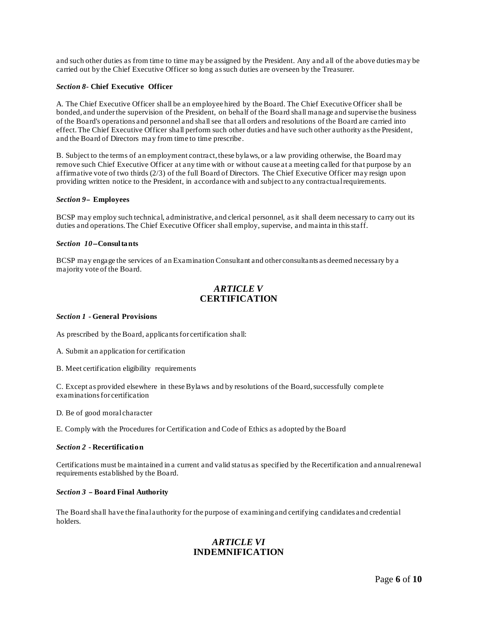and such other duties as from time to time may be assigned by the President. Any and all of the above duties may be carried out by the Chief Executive Officer so long as such duties are overseen by the Treasurer.

#### *Section 8***- Chief Executive Officer**

A. The Chief Executive Officer shall be an employee hired by the Board. The Chief Executive Officer shall be bonded, and under the supervision of the President, on behalf of the Board shall manage and supervise the business of the Board's operations and personnel and shall see that all orders and resolutions of the Board are carried into effect. The Chief Executive Officer shall perform such other duties and have such other authority as the President, and the Board of Directors may from time to time prescribe.

B. Subject to the terms of an employment contract, these bylaws, or a law providing otherwise, the Board may remove such Chief Executive Officer at any time with or without cause at a meeting called for that purpose by an affirmative vote of two thirds (2/3) of the full Board of Directors. The Chief Executive Officer may resign upon providing written notice to the President, in accordance with and subject to any contractual requirements.

#### *Section 9***- Employees**

BCSP may employ such technical, administrative, and clerical personnel, as it shall deem necessary to carry out its duties and operations. The Chief Executive Officer shall employ, supervise, and mainta in this staff.

#### *Section 10***-Consultants**

BCSP may engage the services of an Examination Consultant and other consultants as deemed necessary by a majority vote of the Board.

## *ARTICLE V* **CERTIFICATION**

#### *Section 1* **- General Provisions**

As prescribed by the Board, applicants for certification shall:

A. Submit an application for certification

B. Meet certification eligibility requirements

C. Except as provided elsewhere in these Bylaws and by resolutions of the Board, successfully comple te examinations for certification

D. Be of good moral character

E. Comply with the Procedures for Certification and Code of Ethics as adopted by the Board

#### *Section 2* **- Recertification**

Certifications must be maintained in a current and valid status as specified by the Recertification and annual renewal requirements established by the Board.

#### *Section 3* **-Board Final Authority**

The Board shall have the final authority for the purpose of examining and certifying candidates and credential holders.

# *ARTICLE VI* **INDEMNIFICATION**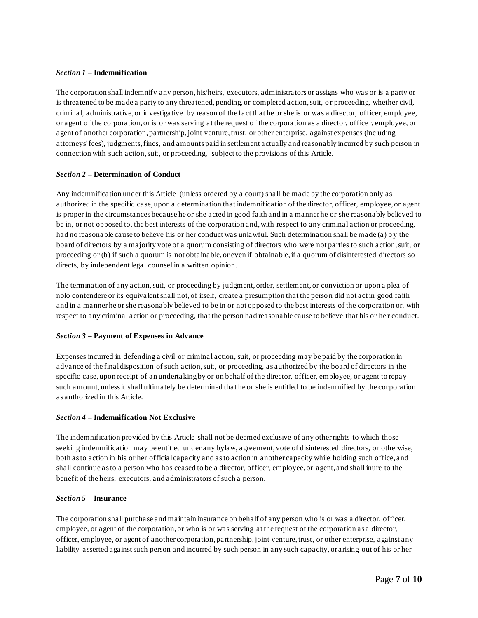## *Section 1 –* **Indemnification**

The corporation shall indemnify any person, his/heirs, executors, administrators or assigns who was or is a party or is threatened to be made a party to any threatened, pending, or completed action, suit, o r proceeding, whether civil, criminal, administrative, or investigative by reason of the fact that he or she is or was a director, officer, employee, or agent of the corporation, or is or was serving at the request of the corporation as a director, office r, employee, or agent of another corporation, partnership, joint venture, trust, or other enterprise, against expenses (including attorneys' fees), judgments, fines, and amounts paid in settlement actually and reasonably incurred by such person in connection with such action, suit, or proceeding, subject to the provisions of this Article.

## *Section 2 –* **Determination of Conduct**

Any indemnification under this Article (unless ordered by a court) shall be made by the corporation only as authorized in the specific case, upon a determination that indemnification of the director, officer, employee, or agent is proper in the circumstances because he or she acted in good faith and in a manner he or she reasonably believed to be in, or not opposed to, the best interests of the corporation and, with respect to any criminal action or proceeding, had no reasonable cause to believe his or her conduct was unlawful. Such determination shall be made (a) b y the board of directors by a majority vote of a quorum consisting of directors who were not parties to such action, suit, or proceeding or (b) if such a quorum is not obtainable, or even if obtainable, if a quorum of disinterested directors so directs, by independent legal counsel in a written opinion.

The termination of any action, suit, or proceeding by judgment, order, settlement, or conviction or upon a plea of nolo contendere or its equivalent shall not, of itself, create a presumption that the perso n did not act in good faith and in a manner he or she reasonably believed to be in or not opposed to the best interests of the corporation or, with respect to any criminal action or proceeding, that the person had reasonable cause to believe that his or her conduct.

#### *Section 3* **– Payment of Expenses in Advance**

Expenses incurred in defending a civil or criminal action, suit, or proceeding may be paid by the corporation in advance of the final disposition of such action, suit, or proceeding, as authorized by the board of directors in the specific case, upon receipt of an undertaking by or on behalf of the director, officer, employee, or agent to repay such amount, unless it shall ultimately be determined that he or she is entitled to be indemnified by the corporation as authorized in this Article.

#### *Section 4* **– Indemnification Not Exclusive**

The indemnification provided by this Article shall not be deemed exclusive of any other rights to which those seeking indemnification may be entitled under any bylaw, agreement, vote of disinterested directors, or otherwise, both as to action in his or her official capacity and as to action in another capacity while holding such office, and shall continue as to a person who has ceased to be a director, officer, employee, or agent, and shall inure to the benefit of the heirs, executors, and administrators of such a person.

## *Section 5* **– Insurance**

The corporation shall purchase and maintain insurance on behalf of any person who is or was a director, officer, employee, or agent of the corporation, or who is or was serving at the request of the corporation as a director, officer, employee, or agent of another corporation, partnership, joint venture, trust, or other enterprise, against any liability asserted against such person and incurred by such person in any such capacity, or arising out of his or her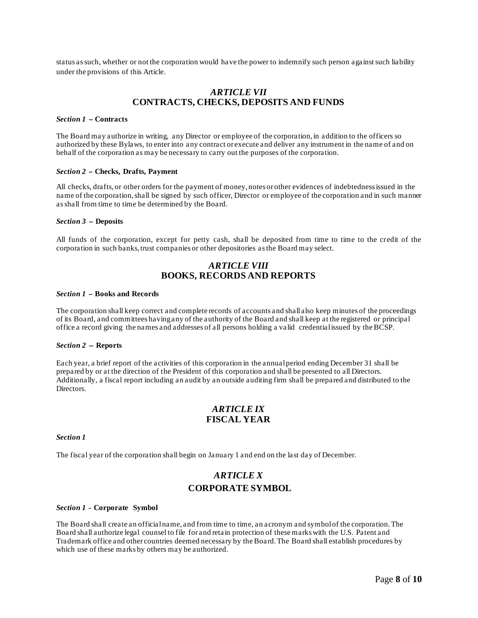status as such, whether or not the corporation would have the power to indemnify such person against such liability under the provisions of this Article.

## *ARTICLE VII*  **CONTRACTS, CHECKS, DEPOSITS AND FUNDS**

#### *Section 1* **- Contracts**

The Board may authorize in writing, any Director or employee of the corporation, in addition to the officers so authorized by these Bylaws, to enter into any contract or execute and deliver any instrument in the name of and on behalf of the corporation as may be necessary to carry out the purposes of the corporation.

#### *Section 2* **- Checks, Drafts, Payment**

All checks, drafts, or other orders for the payment of money, notes or other evidences of indebtedness issued in the name of the corporation, shall be signed by such officer, Director or employee of the corporation and in such manner as shall from time to time be determined by the Board.

#### *Section 3* **- Deposits**

All funds of the corporation, except for petty cash, shall be deposited from time to time to the credit of the corporation in such banks, trust companies or other depositories as the Board may select.

## *ARTICLE VIII* **BOOKS, RECORDS AND REPORTS**

#### *Section 1* **- Books and Records**

The corporation shall keep correct and complete records of accounts and shall also keep minutes of the proceedings of its Board, and committees having any of the authority of the Board and shall keep at the registered or principal office a record giving the names and addresses of all persons holding a valid credential issued by the BCSP.

## *Section 2* **- Reports**

Each year, a brief report of the activities of this corporation in the annual period ending December 31 shall be prepared by or at the direction of the President of this corporation and shall be presented to all Directors. Additionally, a fiscal report including an audit by an outside auditing firm shall be prepared and distributed to the Directors.

## *ARTICLE IX* **FISCAL YEAR**

#### *Section 1*

The fiscal year of the corporation shall begin on January 1 and end on the last day of December.

# *ARTICLE X* **CORPORATE SYMBOL**

#### *Section 1* **- Corporate Symbol**

The Board shall create an official name, and from time to time, an acronym and symbol of the corporation. The Board shall authorize legal counsel to file for and retain protection of these marks with the U.S. Patent and Trademark office and other countries deemed necessary by the Board. The Board shall establish procedures by which use of these marks by others may be authorized.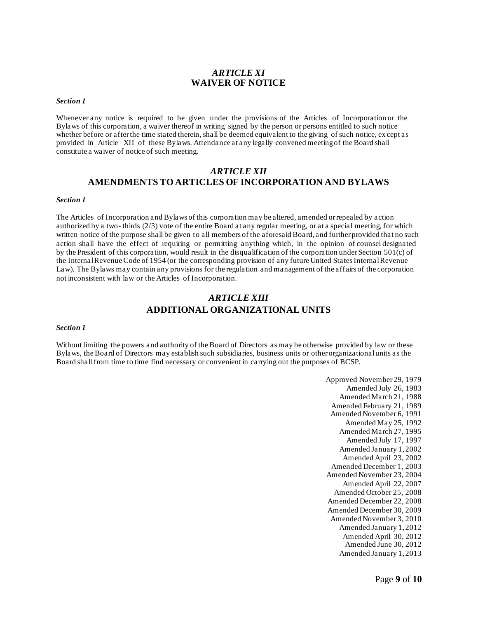# *ARTICLE XI* **WAIVER OF NOTICE**

#### *Section 1*

Whenever any notice is required to be given under the provisions of the Articles of Incorporation or the Bylaws of this corporation, a waiver thereof in writing signed by the person or persons entitled to such notice whether before or after the time stated therein, shall be deemed equivalent to the giving of such notice, ex cept as provided in Article XII of these Bylaws. Attendance at any legally convened meeting of the Board shall constitute a waiver of notice of such meeting.

## *ARTICLE XII*  **AMENDMENTS TO ARTICLES OF INCORPORATION AND BYLAWS**

#### *Section 1*

The Articles of Incorporation and Bylaws of this corporation may be altered, amended or repealed by action authorized by a two- thirds  $(2/3)$  vote of the entire Board at any regular meeting, or at a special meeting, for which written notice of the purpose shall be given to all members of the aforesaid Board, and further provided that no such action shall have the effect of requiring or permitting anything which, in the opinion of counsel designated by the President of this corporation, would result in the disqualification of the corporation under Section 501(c) of the Internal Revenue Code of 1954 (or the corresponding provision of any future United States Internal Revenue Law). The Bylaws may contain any provisions for the regulation and management of the affairs of the corporation not inconsistent with law or the Articles of Incorporation.

# *ARTICLE XIII*  **ADDITIONAL ORGANIZATIONAL UNITS**

#### *Section 1*

Without limiting the powers and authority of the Board of Directors as may be otherwise provided by law or these Bylaws, the Board of Directors may establish such subsidiaries, business units or other organizational units as the Board shall from time to time find necessary or convenient in carrying out the purposes of BCSP.

> Approved November 29, 1979 Amended July 26, 1983 Amended March 21, 1988 Amended February 21, 1989 Amended November 6, 1991 Amended May 25, 1992 Amended March 27, 1995 Amended July 17, 1997 Amended January 1, 2002 Amended April 23, 2002 Amended December 1, 2003 Amended November 23, 2004 Amended April 22, 2007 Amended October 25, 2008 Amended December 22, 2008 Amended December 30, 2009 Amended November 3, 2010 Amended January 1, 2012 Amended April 30, 2012 Amended June 30, 2012 Amended January 1, 2013